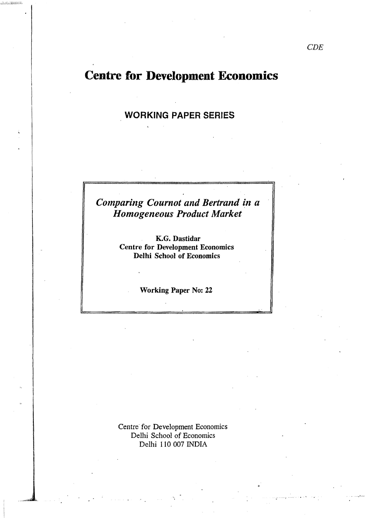# Centre for Development Economics

WORKING PAPER SERIES

*COInparing Cournot and Bertrand in a Homogeneous Product Market* 

> K.G. Dastidar Centre for Development Economics Delhi School of Economics

> > Working Paper No: 22

Centre for Development Economics Delhi School of Economics Delhi 110 007 INDIA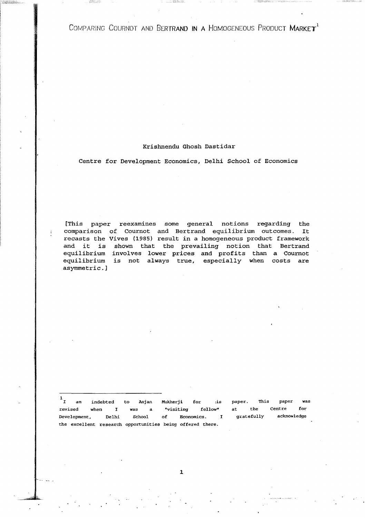COMPARING COURNOT AND BERTRAND IN A HOMOGENEOUS PRODUCT MARKET<sup>1</sup>

### Krishnendu Ghosh Dastidar

Centre for Development Economics, Delhi School of Economics

[This paper reexamines some general notions regarding the comparison of Cournot and Bertrand equilibrium outcomes. It recasts the Vives (1985) result in a homogeneous product framework and *it* is shown that the prevailing notion that Bertrand equilibrium involves lower prices and profits than a Cournot equilibrium is not always true, especially when costs are asymmetric.]

l.

 $\mathbf{1}_{\mathbf{I}}$ <sup>I</sup>am indebted to Anjan Mukherji for **:.is** paper. This paper was revised when I was a "visiting fellow· at the Centre for Development, Delhi School of Economics. I gratefully acknowledge the excellent research opportunities being offered there.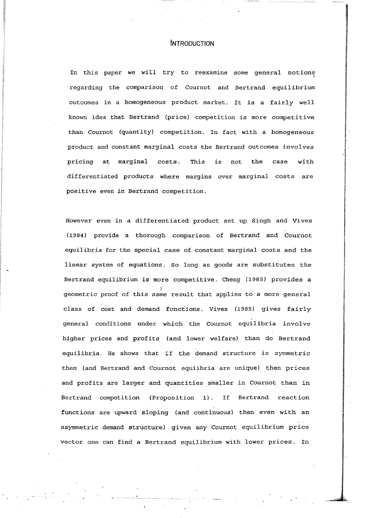## **INTRODUCTION**

In this paper we will try to reexamine some general notions regarding the comparison of Cournot and Bertrand equilibrium outcomes in a homogeneous product market. It is a fairly well known idea that Bertrand (price) competition is more competitive than Cournot (quantity) competition. In fact with a homogeneous product and constant marginal costs the Bertrand outcomes involves pricing at marginal costs. This is not the case with differentiated products where margins over marginal costs are positive even in Bertrand competition.

However even in a differentiated product set up Singh and Vives (1984) provide a thorough comparison of Bertrand and Cournot equilibria for the special case of constant marginal costs and the linear system of equations. So long as goods are substitutes the Bertrand equilibrium is more competitive. Cheng (1985) provides a geometric proof of this same result that applies to a more general class of cost and demand functions. Vives (1985) gives fairly general conditions under which the Cournot equilibria involve higher prices and profits (and lower welfare) than do Bertrand equilibria. He shows that if the demand structure is symmetric then (and Bertrand and Cournot equiibria are unique) then prices and profits are larger and quantities smaller in Cournot than in Bertrand competition (Proposition 1). If Bertrand reaction functions are upward sloping (and continuous) then even with an asymmetric demand structure) given any Cournot equilibrium price vector one can find a Bertrand equilibrium with lower prices. In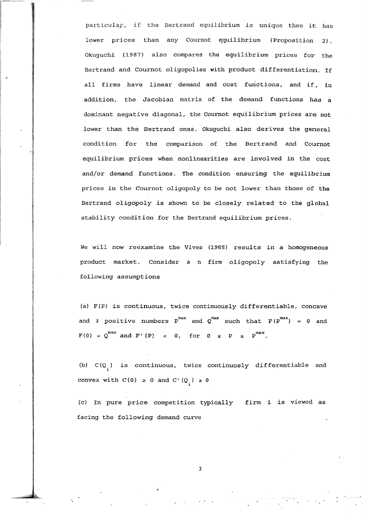particular, if the Bertrand equilibrium is unique then it has lower prices than any Cournot equilibrium (Proposition 2). Okuguchi (1987) also compares the equilibrium prices for the Bertrand and Cournot oligopolies with product differentiation. If all firms have linear demand and cost functions, and if, in addition, the Jacobian matrix of the demand functions has a dominant negative diagonal, the Cournot equilibrium prices are not lower than the Bertrand ones. Okuguchi also derives the general condition for the comparison of the Bertrand and Cournot equilibrium prices when nonlinearities are involved in the cost and/or demand functions. The condition ensuring the equilibrium prices in the Cournot oligopoly to be not lower than those of the Bertrand *oligopoly* is shown to be closely related to the global stability condition for the Bertrand equilibrium prices.

We will now reexamine the Vives (1985) results in a homogeneous product market. Consider a n firm oligopoly satisfying the following assumptions

(a) F(P) is continuous, twice continuously differentiable, concave and 3 positive numbers  $P^{max}$  and  $Q^{max}$  such that  $F(P^{max}) = 0$  and  $F(0) = Q^{max}$  and  $F'(P) < 0$ , for  $0 \le P \le P^{max}$ .

(b)  $C(Q_i)$  is continuous, twice continuosly differentiable and convex with  $C(0) \ge 0$  and  $C'(Q_i) \ge 0$ 

(c) In pure price competition typically firm i is viewed as facing the following demand curve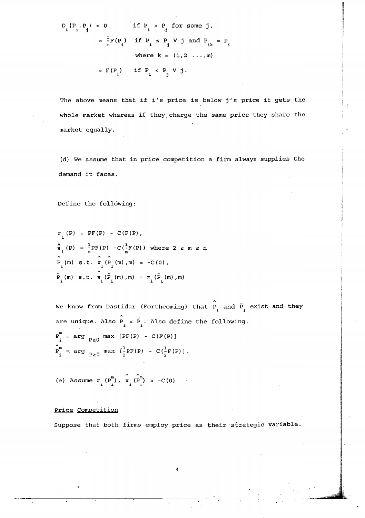$$
D_i(P_i, P_j) = 0 \quad \text{if } P_i > P_j \text{ for some } j.
$$
  

$$
= \frac{1}{m}F(P_i) \quad \text{if } P_i \le P_j \forall j \text{ and } P_{ik} = P_i
$$
  
where  $k = (1, 2 \ldots m)$   

$$
= F(P_i) \quad \text{if } P_i < P_j \forall j.
$$

The above means that if i's price is below  $j'$ s price it gets the whole market whereas if they charge the same price they share the market equally.

(d) We assume that in price competition a firm always supplies the demand it faces.

Define the following:

$$
\pi_{i} (P) = PF(P) - C(F(P),
$$
\n
$$
\frac{\Lambda_{i}}{\pi_{i}} (P) = \frac{1}{m} PF(P) - C(\frac{1}{m}F(P)) \text{ where } 2 \le m \le n
$$
\n
$$
\hat{P}_{i} (m) = 1.2 \text{ for } \hat{m} \text{ for } m = -C(0),
$$
\n
$$
\bar{P}_{i} (m) = 1.2 \text{ for } \hat{m} \text{ for } m = 1.2 \text{ for } m = 1.2 \text{ for } m = 1.2 \text{ for } m = 1.2 \text{ for } m = 1.2 \text{ for } m = 1.2 \text{ for } m = 1.2 \text{ for } m = 1.2 \text{ for } m = 1.2 \text{ for } m = 1.2 \text{ for } m = 1.2 \text{ for } m = 1.2 \text{ for } m = 1.2 \text{ for } m = 1.2 \text{ for } m = 1.2 \text{ for } m = 1.2 \text{ for } m = 1.2 \text{ for } m = 1.2 \text{ for } m = 1.2 \text{ for } m = 1.2 \text{ for } m = 1.2 \text{ for } m = 1.2 \text{ for } m = 1.2 \text{ for } m = 1.2 \text{ for } m = 1.2 \text{ for } m = 1.2 \text{ for } m = 1.2 \text{ for } m = 1.2 \text{ for } m = 1.2 \text{ for } m = 1.2 \text{ for } m = 1.2 \text{ for } m = 1.2 \text{ for } m = 1.2 \text{ for } m = 1.2 \text{ for } m = 1.2 \text{ for } m = 1.2 \text{ for } m = 1.2 \text{ for } m = 1.2 \text{ for } m = 1.2 \text{ for } m = 1.2 \text{ for } m = 1.2 \text{ for } m = 1.2 \text{ for } m = 1.2 \text{ for } m = 1.2 \text{ for } m = 1.2 \text{ for } m = 1.2 \text{ for } m = 1.2 \text{ for } m = 1.2 \text{ for } m = 1.2 \text{ for } m = 1.2 \text{ for } m = 1.2 \text{ for } m = 1.2 \text{ for } m = 1.2 \text{ for } m = 1.2 \text{ for } m = 1
$$

 $\int_{i}^{m}$  = arg  $p_{\geq 0}$  max [PF(P) - C(F(P)] We know from Dastidar (Forthcoming) that  $\hat{P}_i$  and  $\bar{P}_i$  exist and they are unique. Also  $\hat{P}_i < \vec{P}_i$ . Also define the following, arg  $_{P\geq 0}$  max  $\left(\frac{1}{2}PF(P)\right)$ 

(e) Assume  $\pi$  (p<sup>m</sup>),  $\hat{\pi}$  (p<sup>m</sup>) > -C(0)  $\sum_{i=1}^{n} (\overline{P}_{i}^{m})$ ,  $\hat{\pi}_{i} (\hat{P}_{i}^{m})$ 

#### Price competition

Suppose that both firms employ price as their strategic variable.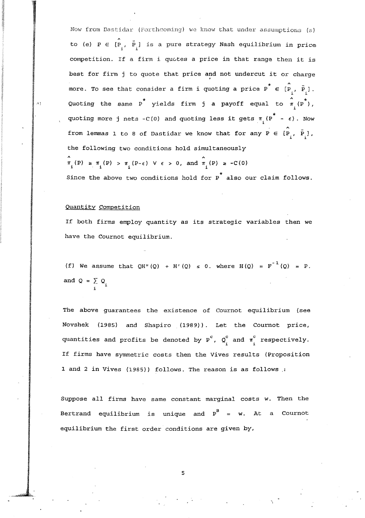Now from Dastidar (Forthcoming) we know that under assumptions (a) to (e)  $P \in \{ \hat{P}_i, \tilde{P}_i \}$  is a pure strategy Nash equilibrium in price competition. If a firm i quotes a price in that range then it is best for firm j to quote that price and not undercut it or charge more. To see that consider a firm i quoting a price  $P^{\star} \in [\hat{P}, \hat{P}]$ . Quoting the same  $p^*$  yields firm j a payoff equal to  $\hat{\pi}_i (p^*)$ , quoting more j nets -C(0) and quoting less it gets  $\pi$ <sub>,</sub> ( $P^* - \epsilon$ ). Now from lemmas 1 to 8 of Dastidar we know that for any  $P \in [\hat{P}, \hat{P},]$ , the following two conditions hold simultaneously  $\pi_{i}(\mathbf{P}) \geq \pi_{i}(\mathbf{P}) > \pi_{i}(\mathbf{P}-\epsilon) \ \forall \ \epsilon > 0$ , and  $\pi_{i}(\mathbf{P}) \geq -C(0)$ Since the above two conditions hold for  $\tilde{P}$  also our claim follows.

#### Quantity Competition

If both firms employ quantity as its strategic variables then we have the Cournot equilibrium.

(f) We assume that  $QH''(Q) + H'(Q) \le 0$ . where  $H(Q) = F^{-1}(Q) = P$ . and  $Q = \sum_i Q_i$ 

The above guarantees the existence of Cournot equilibrium (see Novshek (1985) and Shapiro (1989)). Let the Cournot price, quantities and profits be denoted by  $p^{c}$ ,  $Q_{i}^{c}$  and  $\pi_{i}^{c}$  respectively. If firms have symmetric costs then the Vives results (Proposition 1 and 2 in Vives (1985)) follows. The reason is as follows:

Suppose all firms have same constant marginal costs w. Then the Bertrand equilibrium is unique and  $P^B = w$ . At a Cournot equilibrium the first order conditions are given by,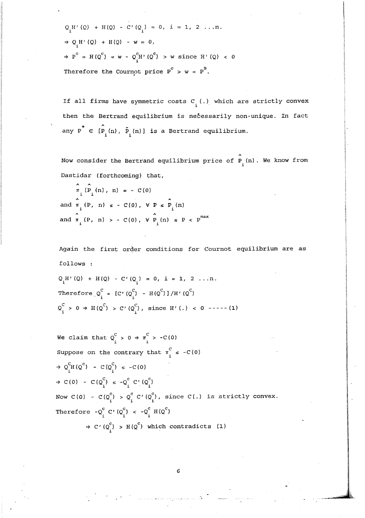$f'(Q) + H(Q) - C' (Q_i) = 0, \quad i = 1, 2 \ldots n.$  $\Rightarrow Q_{i}H'(Q) + H(Q) \sim W \approx 0,$  $\Rightarrow$  P<sup>c</sup> = H(Q<sup>c</sup>) = w - Q<sup>c</sup>H'(Q<sup>c</sup>) > w since H'(Q) < 0 Therefore the Cournot price  $P^{c} > w = P^{B}$ .

If all firms have symmetric costs  $C_i(.)$  which are strictly convex then the Bertrand equilibrium is necessarily non-unique. In fact any  $P^* \in \hat{P}_i(n)$ ,  $\bar{P}_i(n)$ ] is a Bertrand equilibrium.

Now consider the Bertrand equilibrium price of  $\hat{P}_i(n)$ . We know from Dastidar (forthcoming) that,

 $\hat{z}$  'n  $\pi_i(P_i(n), n) = -C(0)$ and  $\hat{\pi}_i(P, n)$   $\leq -C(0)$ ,  $\forall P \leq \hat{P}_i(n)$ and  $\hat{\pi}_i(p, n) > -C(0), \forall \hat{P}_i(n) \le P < P^{max}$ 

Again the first order conditions for Cournot equilibrium are as follows :

 $Q_i$ H' (Q) + H(Q) - C' (Q<sub>i</sub>) = 0, i = 1, 2 ... n. Therefore  $\varrho^{\texttt{C}}_i$  $Q_i^C > 0 \Rightarrow H(Q^C) > C'(Q_i^C)$ , since  $H'(.) < 0$  -----(1)

We claim that  $Q_i^C > 0 \Rightarrow \pi_i^C > -C(0)$ Suppose on the contrary that  $\pi$ <sup>C</sup> s -C(0) Now C(0) - C(Q<sup>c</sup>) > Q<sup>c</sup> C'(Q<sup>c</sup>), since C(.) is strictly convex.  $Q_i^C$ )  $\leq -C(0)$ <br>  $\leq -Q_i^C C'(Q_i^C)$ <br>  $\leq -Q_i^C C'(Q_i^C)$ , sir<br>  $C'(Q_i^C) < -Q_i^C H(Q_i^C)$  $\Rightarrow Q_i^c H(Q^c) - C(Q_i^c) \leq -C(0)$ <br>  $\Rightarrow C(0) - C(Q_i^c) \leq -Q_i^c C'(Q_i^c)$ <br>
Now  $C(0) - C(Q_i^c) > Q_i^c C'(Q_i^c)$ , si<br>
Therefore  $-Q_i^c C'(Q_i^c) < -Q_i^c H(Q^c)$ <br>  $\Rightarrow C'(Q_i^c) > H(Q^c)$  which c Therefore  $-Q_i^c$  C'  $(Q_i^c)$  <  $-Q_i^c$  H( $Q_i^c$ )  $\Rightarrow$  C' (Q<sup>c</sup>) > H(Q<sup>c</sup>) which contradicts (1)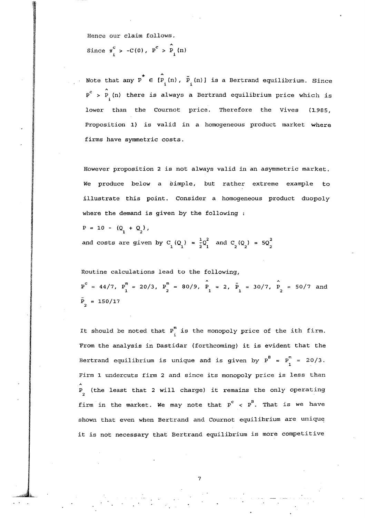Hence our claim follows.

Since  $\pi_i^c > -C(0)$ ,  $p^c > \hat{P}_i(n)$ 

Note that any  $P^* \in \hat{P}_i(n)$ ,  $\bar{P}_i(n)$  is a Bertrand equilibrium. Since  $P^c > P_i(n)$  there is always a Bertrand equilibrium price which is lower than the Cournot price. Therefore the Vives (1985, Proposition **1)** is valid in a homogeneous product market where firms have symmetric costs.

However proposition 2 is not always valid in an asymmetric market. We produce below a simple, but rather extreme example to illustrate this point. Consider a homogeneous product duopoly where the demand is given by the following :

 $P = 10 - (Q_1 + Q_2)$ , and costs are given by  $C_1(Q_1) = \frac{1}{2}Q_1^2$  and  $C_2(Q_2) = 5Q_2^2$ 

Routine calculations lead to the following,

 $P^{c} = 44/7$ ,  $P_{1}^{m} = 20/3$ ,  $P_{2}^{m} = 80/9$ ,  $P_{1}^{m} = 2$ ,  $P_{1}^{m} = 30/7$ ,  $P_{2}^{m} = 50/7$  and  $\bar{P}_{2}$  = 150/17

It should be noted that  $P_{i}^{m}$  is the monopoly price of the ith firm. 'From the analysis in Dastidar (forthcoming) it is evident that the Bertrand equilibrium is unique and is given by  $P^B = P_1^m = 20/3$ . Firm 1 undercuts firm 2 and since its monopoly price is less than  $\hat{P}_2$  (the least that 2 will charge) it remains the only operating firm in the market. We may note that  $p^c$  <  $p^B$ . That is we have shown that even when Bertrand and Cournot equilibrium are unique it is not necessary that Bertrand equilibrium is more competitive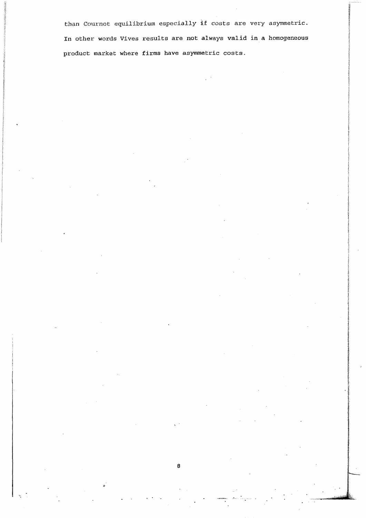than Cournot equilibrium especially if costs are very asymmetric. In other words Vives results are not always valid in a homogeneous product market where firms have asymmetric costs.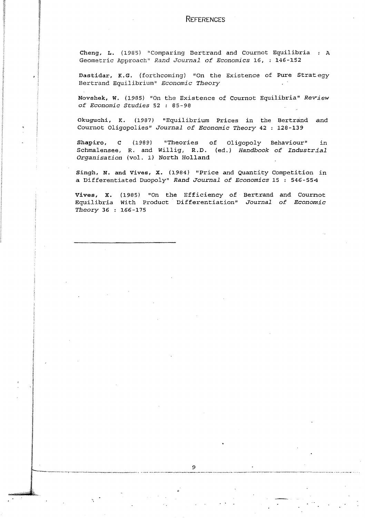Cheng, L. (1985) "Comparing Bertrand and Cournot Equilibria A Geometric Approa.ch" *Rand Journal* of *Economics* 16, : 146-152

Daatidar, K.G. (forthcoming) "On the Existence of Pure Strategy Bertrand Equilibrium" *Eccmomic Theory* 

Novshek, W. (1985) "On the Existence of Cournot Equilibria" Review of *Economic Studies* 52 : 85-98

Okuguchi, K. (1987) "Equilibrium Prices in the Bertrand and Cournot Oligopolies" *Journal of Economic Theory* 42 : 128-139

Shapiro, C (1989) "Theories of Oligopoly Behaviour" in Schmalensee, R. and Willig, R.D. (ed.) Handbook of *Industrial Organisation* (vol. 1) North Holland

Singh, **N. and** Vives, **X.** (1984) "Price and Quantity Competition in <sup>a</sup>Differentiated Duopoly" *Rand Journal* of *Economics* 15 : 546-554

Vives, **X.** (1985) "On the Efficiency of Bertrand and Cournot Equilibria with Product Differentiation" *Journal* of *Economic Theory* 36 : 166-175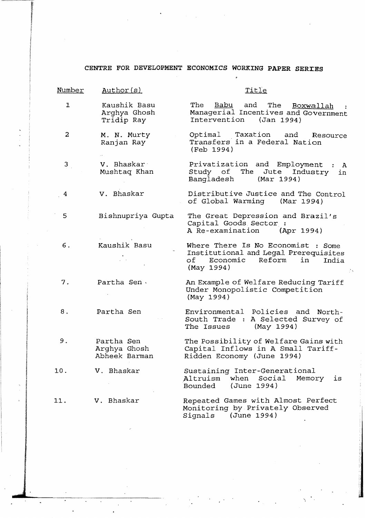# CENTRE FOR DEVELOPMENT ECONOMICS WORKING PAPER SERIES

| Number         | Author(s)                                   | Title                                                                                                                             |
|----------------|---------------------------------------------|-----------------------------------------------------------------------------------------------------------------------------------|
| 1              | Kaushik Basu<br>Arghya Ghosh<br>Tridip Ray  | The<br>and The Boxwallah<br><u>Babu</u><br>Managerial Incentives and Government<br>Intervention<br>(Jan 1994)                     |
| 2              | M. N. Murty<br>Ranjan Ray                   | Optimal Taxation and<br>Resource<br>Transfers in a Federal Nation<br>(Feb 1994)                                                   |
| 3 <sub>1</sub> | V. Bhaskar<br>Mushtaq Khan                  | Privatization and Employment :<br>$\mathbf{A}$<br>Study of The Jute Industry<br>in<br>Bangladesh (Mar 1994)                       |
| 4              | V. Bhaskar                                  | Distributive Justice and The Control<br>of Global Warming (Mar 1994)                                                              |
| 5              | Bishnupriya Gupta                           | The Great Depression and Brazil's<br>Capital Goods Sector :<br>A Re-examination<br>(Apr 1994)                                     |
| 6.             | Kaushik Basu                                | Where There Is No Economist : Some<br>Institutional and Legal Prerequisites<br>Economic Reform<br>of<br>in<br>India<br>(May 1994) |
| 7.             | Partha Sen                                  | An Example of Welfare Reducing Tariff<br>Under Monopolistic Competition<br>(May 1994)                                             |
| 8.             | Partha Sen                                  | Environmental Policies and North-<br>South Trade : A Selected Survey of<br>The Issues (May 1994)                                  |
| 9.             | Partha Sen<br>Arghya Ghosh<br>Abheek Barman | The Possibility of Welfare Gains with<br>Capital Inflows in A Small Tariff-<br>Ridden Economy (June 1994)                         |
| 10.            | V. Bhaskar                                  | Sustaining Inter-Generational<br>Altruism<br>when Social<br>Memory<br>is<br>(June 1994)<br>Bounded                                |
| 11.            | V. Bhaskar                                  | Repeated Games with Almost Perfect<br>Monitoring by Privately Observed<br>(June 1994)<br>Signals                                  |